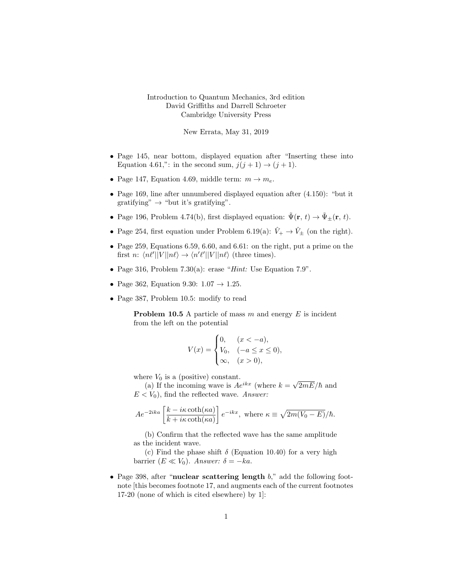## Introduction to Quantum Mechanics, 3rd edition David Griffiths and Darrell Schroeter Cambridge University Press

New Errata, May 31, 2019

- Page 145, near bottom, displayed equation after "Inserting these into Equation 4.61,": in the second sum,  $j(j + 1) \rightarrow (j + 1)$ .
- Page 147, Equation 4.69, middle term:  $m \rightarrow m_e$ .
- Page 169, line after unnumbered displayed equation after (4.150): "but it gratifying"  $\rightarrow$  "but it's gratifying".
- Page 196, Problem 4.74(b), first displayed equation:  $\tilde{\Psi}(\mathbf{r}, t) \rightarrow \tilde{\Psi}_{\pm}(\mathbf{r}, t)$ .
- Page 254, first equation under Problem 6.19(a):  $\hat{V}_+ \rightarrow \hat{V}_\pm$  (on the right).
- Page 259, Equations 6.59, 6.60, and 6.61: on the right, put a prime on the first n:  $\langle n\ell' || V || n\ell \rangle \rightarrow \langle n'\ell' || V || n\ell \rangle$  (three times).
- Page 316, Problem 7.30(a): erase "Hint: Use Equation  $7.9$ ".
- Page 362, Equation 9.30:  $1.07 \rightarrow 1.25$ .
- Page 387, Problem 10.5: modify to read

**Problem 10.5** A particle of mass  $m$  and energy  $E$  is incident from the left on the potential

$$
V(x) = \begin{cases} 0, & (x < -a), \\ V_0, & (-a \le x \le 0), \\ \infty, & (x > 0), \end{cases}
$$

where  $V_0$  is a (positive) constant.

The  $V_0$  is a (positive) constant.<br>(a) If the incoming wave is  $Ae^{ikx}$  (where  $k = \sqrt{ }$  $2mE/\hbar$  and  $E < V_0$ ), find the reflected wave. Answer:

$$
Ae^{-2ika} \left[ \frac{k - i\kappa \coth(\kappa a)}{k + i\kappa \coth(\kappa a)} \right] e^{-ikx}, \text{ where } \kappa \equiv \sqrt{2m(V_0 - E)}/\hbar.
$$

(b) Confirm that the reflected wave has the same amplitude as the incident wave.

(c) Find the phase shift  $\delta$  (Equation 10.40) for a very high barrier  $(E \ll V_0)$ . Answer:  $\delta = -ka$ .

• Page 398, after "nuclear scattering length  $b$ ," add the following footnote [this becomes footnote 17, and augments each of the current footnotes 17-20 (none of which is cited elsewhere) by 1]: